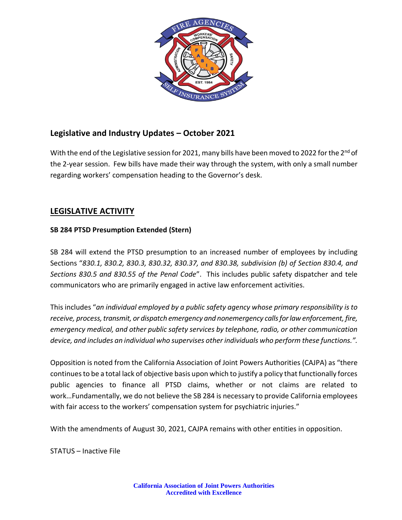

# **Legislative and Industry Updates – October 2021**

With the end of the Legislative session for 2021, many bills have been moved to 2022 for the 2<sup>nd</sup> of the 2-year session. Few bills have made their way through the system, with only a small number regarding workers' compensation heading to the Governor's desk.

## **LEGISLATIVE ACTIVITY**

### **SB 284 PTSD Presumption Extended (Stern)**

SB 284 will extend the PTSD presumption to an increased number of employees by including Sections "*830.1, 830.2, 830.3, 830.32, 830.37, and 830.38, subdivision (b) of Section 830.4, and Sections 830.5 and 830.55 of the Penal Code*". This includes public safety dispatcher and tele communicators who are primarily engaged in active law enforcement activities.

This includes "*an individual employed by a public safety agency whose primary responsibility is to receive, process,transmit, or dispatch emergency and nonemergency callsforlaw enforcement,fire, emergency medical, and other public safety services by telephone, radio, or other communication device, and includes an individual who supervises other individuals who perform these functions.".*

Opposition is noted from the California Association of Joint Powers Authorities (CAJPA) as "there continues to be a total lack of objective basis upon which to justify a policy that functionally forces public agencies to finance all PTSD claims, whether or not claims are related to work…Fundamentally, we do not believe the SB 284 is necessary to provide California employees with fair access to the workers' compensation system for psychiatric injuries."

With the amendments of August 30, 2021, CAJPA remains with other entities in opposition.

STATUS – Inactive File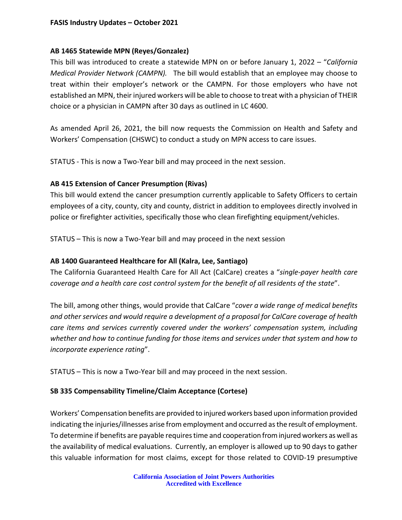#### **AB 1465 Statewide MPN (Reyes/Gonzalez)**

This bill was introduced to create a statewide MPN on or before January 1, 2022 – "*California Medical Provider Network (CAMPN).* The bill would establish that an employee may choose to treat within their employer's network or the CAMPN. For those employers who have not established an MPN, their injured workers will be able to choose to treat with a physician of THEIR choice or a physician in CAMPN after 30 days as outlined in LC 4600.

As amended April 26, 2021, the bill now requests the Commission on Health and Safety and Workers' Compensation (CHSWC) to conduct a study on MPN access to care issues.

STATUS - This is now a Two-Year bill and may proceed in the next session.

#### **AB 415 Extension of Cancer Presumption (Rivas)**

This bill would extend the cancer presumption currently applicable to Safety Officers to certain employees of a city, county, city and county, district in addition to employees directly involved in police or firefighter activities, specifically those who clean firefighting equipment/vehicles.

STATUS – This is now a Two-Year bill and may proceed in the next session

#### **AB 1400 Guaranteed Healthcare for All (Kalra, Lee, Santiago)**

The California Guaranteed Health Care for All Act (CalCare) creates a "*single-payer health care coverage and a health care cost control system for the benefit of all residents of the state*".

The bill, among other things, would provide that CalCare "*cover a wide range of medical benefits and other services and would require a development of a proposal for CalCare coverage of health care items and services currently covered under the workers' compensation system, including whether and how to continue funding for those items and services under that system and how to incorporate experience rating*".

STATUS – This is now a Two-Year bill and may proceed in the next session.

#### **SB 335 Compensability Timeline/Claim Acceptance (Cortese)**

Workers' Compensation benefits are provided to injured workers based upon information provided indicating the injuries/illnesses arise from employment and occurred as the result of employment. To determine if benefits are payable requires time and cooperation from injured workers as well as the availability of medical evaluations. Currently, an employer is allowed up to 90 days to gather this valuable information for most claims, except for those related to COVID-19 presumptive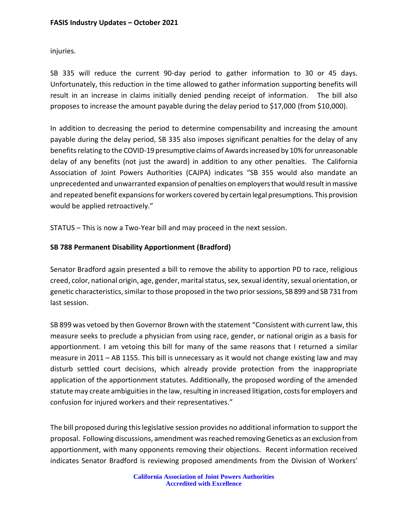injuries.

SB 335 will reduce the current 90-day period to gather information to 30 or 45 days. Unfortunately, this reduction in the time allowed to gather information supporting benefits will result in an increase in claims initially denied pending receipt of information. The bill also proposes to increase the amount payable during the delay period to \$17,000 (from \$10,000).

In addition to decreasing the period to determine compensability and increasing the amount payable during the delay period, SB 335 also imposes significant penalties for the delay of any benefits relating to the COVID-19 presumptive claims of Awards increased by 10% for unreasonable delay of any benefits (not just the award) in addition to any other penalties. The California Association of Joint Powers Authorities (CAJPA) indicates "SB 355 would also mandate an unprecedented and unwarranted expansion of penalties on employers that would result in massive and repeated benefit expansions for workers covered by certain legal presumptions. This provision would be applied retroactively."

STATUS – This is now a Two-Year bill and may proceed in the next session.

### **SB 788 Permanent Disability Apportionment (Bradford)**

Senator Bradford again presented a bill to remove the ability to apportion PD to race, religious creed, color, national origin, age, gender, marital status, sex, sexual identity, sexual orientation, or genetic characteristics, similar to those proposed in the two prior sessions, SB 899 and SB 731 from last session.

SB 899 was vetoed by then Governor Brown with the statement "Consistent with current law, this measure seeks to preclude a physician from using race, gender, or national origin as a basis for apportionment. I am vetoing this bill for many of the same reasons that I returned a similar measure in 2011 – AB 1155. This bill is unnecessary as it would not change existing law and may disturb settled court decisions, which already provide protection from the inappropriate application of the apportionment statutes. Additionally, the proposed wording of the amended statute may create ambiguities in the law, resulting in increased litigation, costs for employers and confusion for injured workers and their representatives."

The bill proposed during this legislative session provides no additional information to support the proposal. Following discussions, amendment was reached removing Genetics as an exclusion from apportionment, with many opponents removing their objections. Recent information received indicates Senator Bradford is reviewing proposed amendments from the Division of Workers'